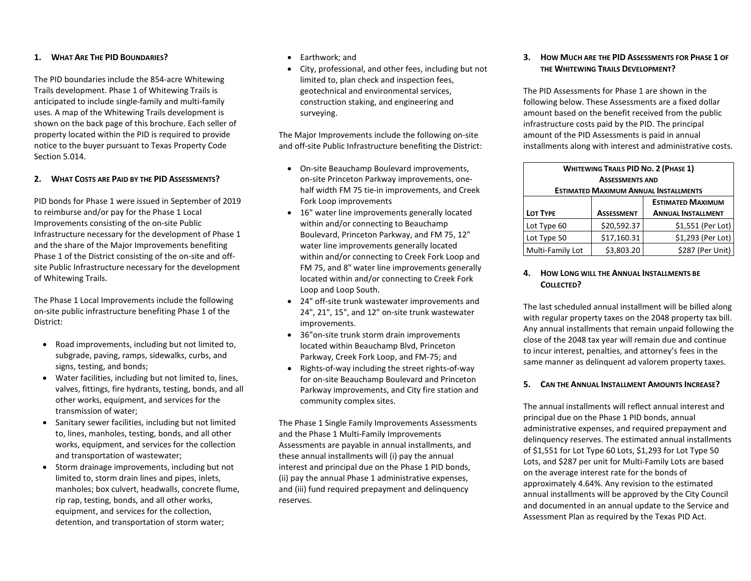#### **1. WHAT ARE THE PID BOUNDARIES?**

The PID boundaries include the 854-acre Whitewing Trails development. Phase 1 of Whitewing Trails is anticipated to include single-family and multi-family uses. A map of the Whitewing Trails development is shown on the back page of this brochure. Each seller of property located within the PID is required to provide notice to the buyer pursuant to Texas Property Code Section 5.014.

#### **2. WHAT COSTS ARE PAID BY THE PID ASSESSMENTS?**

PID bonds for Phase 1 were issued in September of 2019 to reimburse and/or pay for the Phase 1 Local Improvements consisting of the on-site Public Infrastructure necessary for the development of Phase 1 and the share of the Major Improvements benefiting Phase 1 of the District consisting of the on-site and offsite Public Infrastructure necessary for the development of Whitewing Trails.

The Phase 1 Local Improvements include the following on-site public infrastructure benefiting Phase 1 of the District:

- Road improvements, including but not limited to, subgrade, paving, ramps, sidewalks, curbs, and signs, testing, and bonds;
- Water facilities, including but not limited to, lines, valves, fittings, fire hydrants, testing, bonds, and all other works, equipment, and services for the transmission of water;
- Sanitary sewer facilities, including but not limited to, lines, manholes, testing, bonds, and all other works, equipment, and services for the collection and transportation of wastewater;
- Storm drainage improvements, including but not limited to, storm drain lines and pipes, inlets, manholes; box culvert, headwalls, concrete flume, rip rap, testing, bonds, and all other works, equipment, and services for the collection, detention, and transportation of storm water;
- Earthwork; and
- City, professional, and other fees, including but not limited to, plan check and inspection fees, geotechnical and environmental services, construction staking, and engineering and surveying.

The Major Improvements include the following on-site and off-site Public Infrastructure benefiting the District:

- On-site Beauchamp Boulevard improvements, on-site Princeton Parkway improvements, onehalf width FM 75 tie-in improvements, and Creek Fork Loop improvements
- 16" water line improvements generally located within and/or connecting to Beauchamp Boulevard, Princeton Parkway, and FM 75, 12" water line improvements generally located within and/or connecting to Creek Fork Loop and FM 75, and 8" water line improvements generally located within and/or connecting to Creek Fork Loop and Loop South.
- 24" off-site trunk wastewater improvements and 24", 21", 15", and 12" on-site trunk wastewater improvements.
- 36"on-site trunk storm drain improvements located within Beauchamp Blvd, Princeton Parkway, Creek Fork Loop, and FM-75; and
- Rights-of-way including the street rights-of-way for on-site Beauchamp Boulevard and Princeton Parkway improvements, and City fire station and community complex sites.

The Phase 1 Single Family Improvements Assessments and the Phase 1 Multi-Family Improvements Assessments are payable in annual installments, and these annual installments will (i) pay the annual interest and principal due on the Phase 1 PID bonds, (ii) pay the annual Phase 1 administrative expenses, and (iii) fund required prepayment and delinquency reserves.

**3. HOW MUCH ARE THE PID ASSESSMENTS FOR PHASE 1 OF THE WHITEWING TRAILS DEVELOPMENT?**

The PID Assessments for Phase 1 are shown in the following below. These Assessments are a fixed dollar amount based on the benefit received from the public infrastructure costs paid by the PID. The principal amount of the PID Assessments is paid in annual installments along with interest and administrative costs.

| <b>WHITEWING TRAILS PID NO. 2 (PHASE 1)</b>  |                   |                           |
|----------------------------------------------|-------------------|---------------------------|
| <b>ASSESSMENTS AND</b>                       |                   |                           |
| <b>ESTIMATED MAXIMUM ANNUAL INSTALLMENTS</b> |                   |                           |
|                                              |                   | <b>ESTIMATED MAXIMUM</b>  |
| LOT TYPE                                     | <b>ASSESSMENT</b> | <b>ANNUAL INSTALLMENT</b> |
| Lot Type 60                                  | \$20,592.37       | \$1,551 (Per Lot)         |
| Lot Type 50                                  | \$17,160.31       | \$1,293 (Per Lot)         |
| Multi-Family Lot                             | \$3,803.20        | \$287 (Per Unit)          |

### **4. HOW LONG WILL THE ANNUAL INSTALLMENTS BE**  COLLECTED?

The last scheduled annual installment will be billed along with regular property taxes on the 2048 property tax bill. Any annual installments that remain unpaid following the close of the 2048 tax year will remain due and continue to incur interest, penalties, and attorney's fees in the same manner as delinquent ad valorem property taxes.

## **5. CAN THE ANNUAL INSTALLMENT AMOUNTS INCREASE?**

The annual installments will reflect annual interest and principal due on the Phase 1 PID bonds, annual administrative expenses, and required prepayment and delinquency reserves. The estimated annual installments of \$1,551 for Lot Type 60 Lots, \$1,293 for Lot Type 50 Lots, and \$287 per unit for Multi-Family Lots are based on the average interest rate for the bonds of approximately 4.64%. Any revision to the estimated annual installments will be approved by the City Council and documented in an annual update to the Service and Assessment Plan as required by the Texas PID Act.